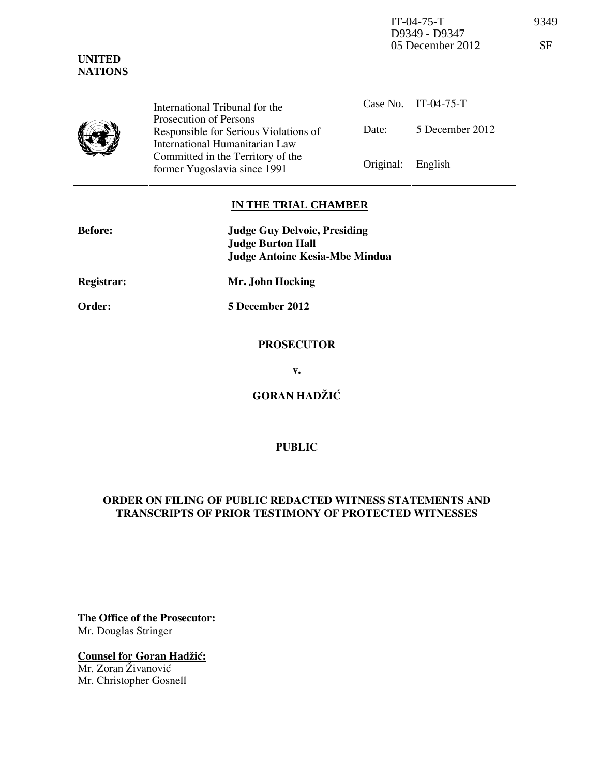IT-04-75-T 9349 D9349 - D9347 05 December 2012 SF

|  | International Tribunal for the                                                                    |                   | Case No. IT-04-75-T |
|--|---------------------------------------------------------------------------------------------------|-------------------|---------------------|
|  | Prosecution of Persons<br>Responsible for Serious Violations of<br>International Humanitarian Law | Date:             | 5 December 2012     |
|  | Committed in the Territory of the<br>former Yugoslavia since 1991                                 | Original: English |                     |

## **IN THE TRIAL CHAMBER**

| <b>Before:</b>    | <b>Judge Guy Delvoie, Presiding</b><br><b>Judge Burton Hall</b> |  |
|-------------------|-----------------------------------------------------------------|--|
|                   | <b>Judge Antoine Kesia-Mbe Mindua</b>                           |  |
| <b>Registrar:</b> | Mr. John Hocking                                                |  |
| Order:            | 5 December 2012                                                 |  |
|                   | <b>PROSECUTOR</b>                                               |  |

**v.** 

**GORAN HADŽIĆ** 

## **PUBLIC**

## **ORDER ON FILING OF PUBLIC REDACTED WITNESS STATEMENTS AND TRANSCRIPTS OF PRIOR TESTIMONY OF PROTECTED WITNESSES**

**The Office of the Prosecutor:** Mr. Douglas Stringer

**Counsel for Goran Hadžić:** Mr. Zoran Živanović Mr. Christopher Gosnell

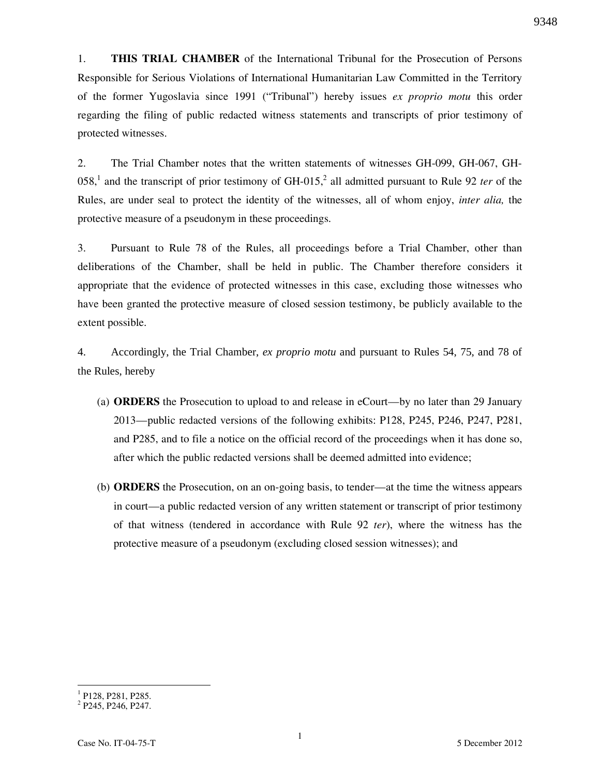1. **THIS TRIAL CHAMBER** of the International Tribunal for the Prosecution of Persons Responsible for Serious Violations of International Humanitarian Law Committed in the Territory of the former Yugoslavia since 1991 ("Tribunal") hereby issues *ex proprio motu* this order regarding the filing of public redacted witness statements and transcripts of prior testimony of protected witnesses.

2. The Trial Chamber notes that the written statements of witnesses GH-099, GH-067, GH-058,<sup>1</sup> and the transcript of prior testimony of GH-015,<sup>2</sup> all admitted pursuant to Rule 92 *ter* of the Rules, are under seal to protect the identity of the witnesses, all of whom enjoy, *inter alia,* the protective measure of a pseudonym in these proceedings.

3. Pursuant to Rule 78 of the Rules, all proceedings before a Trial Chamber, other than deliberations of the Chamber, shall be held in public. The Chamber therefore considers it appropriate that the evidence of protected witnesses in this case, excluding those witnesses who have been granted the protective measure of closed session testimony, be publicly available to the extent possible.

4. Accordingly, the Trial Chamber, *ex proprio motu* and pursuant to Rules 54, 75, and 78 of the Rules, hereby

- (a) **ORDERS** the Prosecution to upload to and release in eCourt—by no later than 29 January 2013—public redacted versions of the following exhibits: P128, P245, P246, P247, P281, and P285, and to file a notice on the official record of the proceedings when it has done so, after which the public redacted versions shall be deemed admitted into evidence;
- (b) **ORDERS** the Prosecution, on an on-going basis, to tender—at the time the witness appears in court—a public redacted version of any written statement or transcript of prior testimony of that witness (tendered in accordance with Rule 92 *ter*), where the witness has the protective measure of a pseudonym (excluding closed session witnesses); and

<sup>&</sup>lt;sup>1</sup> P128, P281, P285.

<sup>&</sup>lt;sup>2</sup> P245, P246, P247.